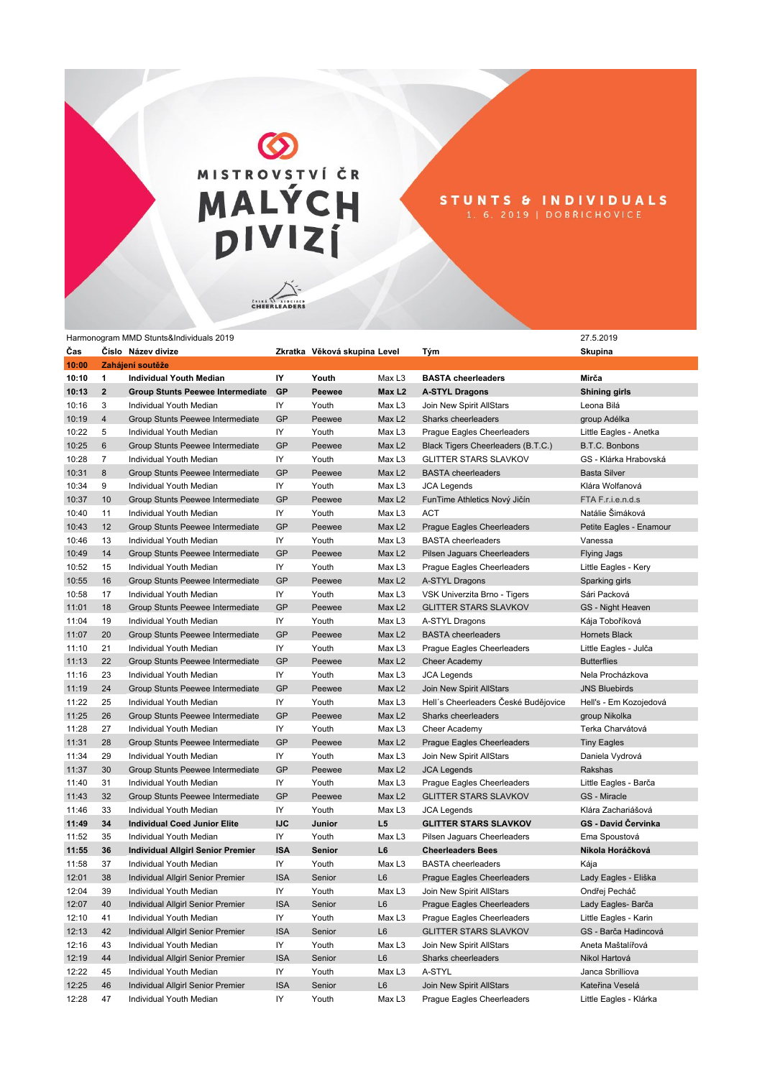MISTROVSTVÍ ČR<br>MALÝCH<br>DIVIZÍ

STUNTS & INDIVIDUALS<br>1.6.2019 | DOBRICHOVICE

CHEERLEADERS

| Číslo Název divize<br>Zkratka Věková skupina Level<br>10:00<br>Zahájení soutěže<br>IY<br>10:10<br>Youth<br>Max L <sub>3</sub><br>Mirča<br>1<br><b>Individual Youth Median</b><br><b>BASTA cheerleaders</b><br>GP<br>Max L2<br><b>Shining girls</b><br>10:13<br>$\overline{2}$<br><b>Group Stunts Peewee Intermediate</b><br>Peewee<br><b>A-STYL Dragons</b><br>IY<br>Youth<br>Max L3<br>10:16<br>3<br>Individual Youth Median<br>Join New Spirit AllStars<br>Leona Bilá<br><b>GP</b><br>10:19<br>$\overline{4}$<br>Group Stunts Peewee Intermediate<br>Peewee<br>Max L2<br>Sharks cheerleaders<br>group Adélka<br>IY<br>Youth<br>10:22<br>5<br>Individual Youth Median<br>Max L <sub>3</sub><br>Prague Eagles Cheerleaders<br>Little Eagles - Anetka<br>GP<br>10:25<br>6<br>Group Stunts Peewee Intermediate<br>Peewee<br>Max L <sub>2</sub><br>Black Tigers Cheerleaders (B.T.C.)<br>B.T.C. Bonbons<br>IY<br>10:28<br>$\overline{7}$<br>Individual Youth Median<br>Youth<br>Max L <sub>3</sub><br><b>GLITTER STARS SLAVKOV</b><br>GS - Klárka Hrabovská<br><b>GP</b><br>8<br>Peewee<br>Max L <sub>2</sub><br>10:31<br>Group Stunts Peewee Intermediate<br><b>BASTA</b> cheerleaders<br><b>Basta Silver</b><br>9<br>IY<br>Youth<br>10:34<br>Individual Youth Median<br>Max L <sub>3</sub><br><b>JCA Legends</b><br>Klára Wolfanová<br>10<br><b>GP</b><br>10:37<br>Group Stunts Peewee Intermediate<br>Peewee<br>Max L <sub>2</sub><br>FunTime Athletics Nový Jičín<br>FTA F.r.i.e.n.d.s<br>IY<br>10:40<br>11<br>Individual Youth Median<br>Youth<br>Max L <sub>3</sub><br><b>ACT</b><br>Natálie Šimáková<br>GP<br>10:43<br>12<br>Group Stunts Peewee Intermediate<br>Peewee<br>Max L <sub>2</sub><br><b>Prague Eagles Cheerleaders</b><br>Petite Eagles - Enamour<br>IY<br>10:46<br>13<br>Individual Youth Median<br>Youth<br>Max L <sub>3</sub><br><b>BASTA</b> cheerleaders<br>Vanessa<br><b>GP</b><br>10:49<br>14<br>Group Stunts Peewee Intermediate<br>Peewee<br>Max L <sub>2</sub><br>Pilsen Jaguars Cheerleaders<br><b>Flying Jags</b><br>IY<br>10:52<br>15<br>Youth<br>Individual Youth Median<br>Max L <sub>3</sub><br>Prague Eagles Cheerleaders<br>Little Eagles - Kery<br>10:55<br>16<br><b>GP</b><br>Peewee<br>Max L <sub>2</sub><br>Group Stunts Peewee Intermediate<br>A-STYL Dragons<br>Sparking girls<br>IY<br>10:58<br>17<br>Youth<br>Individual Youth Median<br>Max L <sub>3</sub><br>VSK Univerzita Brno - Tigers<br>Sári Packová<br>GP<br>18<br>Max L <sub>2</sub><br><b>GLITTER STARS SLAVKOV</b><br>11:01<br>Group Stunts Peewee Intermediate<br>Peewee<br>GS - Night Heaven<br>IY<br>19<br>11:04<br>Individual Youth Median<br>Youth<br>Max L <sub>3</sub><br>A-STYL Dragons<br>Kája Toboříková<br>GP<br>20<br>11:07<br>Group Stunts Peewee Intermediate<br>Peewee<br>Max L <sub>2</sub><br><b>BASTA</b> cheerleaders<br>Hornets Black<br>IY<br>11:10<br>21<br>Individual Youth Median<br>Youth<br>Prague Eagles Cheerleaders<br>Little Eagles - Julča<br>Max L <sub>3</sub><br><b>GP</b><br>22<br>Group Stunts Peewee Intermediate<br>Peewee<br>Max L <sub>2</sub><br>Cheer Academy<br>11:13<br><b>Butterflies</b><br>IY<br>11:16<br>23<br>Nela Procházkova<br>Individual Youth Median<br>Youth<br>Max L <sub>3</sub><br><b>JCA Legends</b><br>GP<br>24<br>11:19<br>Group Stunts Peewee Intermediate<br>Peewee<br>Max L <sub>2</sub><br>Join New Spirit AllStars<br><b>JNS Bluebirds</b><br>IY<br>11:22<br>Hell's Cheerleaders České Budějovice<br>25<br>Individual Youth Median<br>Youth<br>Max L <sub>3</sub><br>Hell's - Em Kozojedová<br><b>GP</b><br>11:25<br>26<br>Group Stunts Peewee Intermediate<br>Peewee<br>Max L <sub>2</sub><br>Sharks cheerleaders<br>group Nikolka<br>11:28<br>27<br>IY<br>Youth<br>Terka Charvátová<br>Individual Youth Median<br>Max L <sub>3</sub><br>Cheer Academy<br>11:31<br>28<br><b>GP</b><br>Peewee<br>Max L <sub>2</sub><br>Group Stunts Peewee Intermediate<br>Prague Eagles Cheerleaders<br><b>Tiny Eagles</b><br>11:34<br>29<br>IY<br>Youth<br>Individual Youth Median<br>Max L <sub>3</sub><br>Join New Spirit AllStars<br>Daniela Vydrová<br>11:37<br>30<br><b>GP</b><br>Group Stunts Peewee Intermediate<br>Peewee<br>Max L <sub>2</sub><br><b>JCA Legends</b><br>Rakshas<br>IY<br>11:40<br>31<br>Individual Youth Median<br>Youth<br>Max L <sub>3</sub><br>Prague Eagles Cheerleaders<br>Little Eagles - Barča<br><b>GP</b><br>11:43<br>32<br>Group Stunts Peewee Intermediate<br>Peewee<br>Max L <sub>2</sub><br><b>GLITTER STARS SLAVKOV</b><br>GS - Miracle<br>IY<br>11:46<br>33<br>Individual Youth Median<br>Youth<br>Max L <sub>3</sub><br>Klára Zachariášová<br><b>JCA Legends</b><br><b>IJC</b><br>L5<br>GS - David Červinka<br>11:49<br>34<br><b>Individual Coed Junior Elite</b><br>Junior<br><b>GLITTER STARS SLAVKOV</b><br>IY<br>11:52<br>35<br>Youth<br>Max L <sub>3</sub><br>Ema Spoustová<br>Individual Youth Median<br>Pilsen Jaguars Cheerleaders<br><b>ISA</b><br>11:55<br>36<br>Senior<br>L6<br>Nikola Horáčková<br><b>Individual Allgirl Senior Premier</b><br><b>Cheerleaders Bees</b><br>IY<br>11:58<br>37<br>Max L3<br>Individual Youth Median<br>Youth<br><b>BASTA</b> cheerleaders<br>Kája<br><b>ISA</b><br>12:01<br>38<br>L <sub>6</sub><br>Individual Allgirl Senior Premier<br>Senior<br>Prague Eagles Cheerleaders<br>Lady Eagles - Eliška<br>IY<br>12:04<br>39<br>Youth<br>Max L <sub>3</sub><br>Join New Spirit AllStars<br>Ondřej Pecháč<br>Individual Youth Median<br>12:07<br>40<br><b>ISA</b><br>L <sub>6</sub><br>Individual Allgirl Senior Premier<br>Senior<br><b>Praque Eagles Cheerleaders</b><br>Lady Eagles-Barča<br>IY<br>12:10<br>41<br>Max L <sub>3</sub><br>Prague Eagles Cheerleaders<br>Little Eagles - Karin<br>Individual Youth Median<br>Youth<br>42<br><b>ISA</b><br>L <sub>6</sub><br>12:13<br>Individual Allgirl Senior Premier<br>Senior<br><b>GLITTER STARS SLAVKOV</b><br>GS - Barča Hadincová<br>IY<br>43<br>Max L <sub>3</sub><br>Aneta Maštalířová<br>12:16<br>Individual Youth Median<br>Youth<br>Join New Spirit AllStars<br><b>ISA</b><br>L <sub>6</sub><br>12:19<br>44<br>Individual Allgirl Senior Premier<br>Sharks cheerleaders<br>Senior<br>Nikol Hartová<br>12:22<br>IY<br>Max L <sub>3</sub><br>45<br>Individual Youth Median<br>Youth<br>A-STYL<br>Janca Sbrilliova<br><b>ISA</b><br>L <sub>6</sub><br>12:25<br>46<br>Individual Allgirl Senior Premier<br>Senior<br>Join New Spirit AllStars<br>Kateřina Veselá |       | Harmonogram MMD Stunts&individuals 2019 |    |  |     | 27.5.2019 |
|-------------------------------------------------------------------------------------------------------------------------------------------------------------------------------------------------------------------------------------------------------------------------------------------------------------------------------------------------------------------------------------------------------------------------------------------------------------------------------------------------------------------------------------------------------------------------------------------------------------------------------------------------------------------------------------------------------------------------------------------------------------------------------------------------------------------------------------------------------------------------------------------------------------------------------------------------------------------------------------------------------------------------------------------------------------------------------------------------------------------------------------------------------------------------------------------------------------------------------------------------------------------------------------------------------------------------------------------------------------------------------------------------------------------------------------------------------------------------------------------------------------------------------------------------------------------------------------------------------------------------------------------------------------------------------------------------------------------------------------------------------------------------------------------------------------------------------------------------------------------------------------------------------------------------------------------------------------------------------------------------------------------------------------------------------------------------------------------------------------------------------------------------------------------------------------------------------------------------------------------------------------------------------------------------------------------------------------------------------------------------------------------------------------------------------------------------------------------------------------------------------------------------------------------------------------------------------------------------------------------------------------------------------------------------------------------------------------------------------------------------------------------------------------------------------------------------------------------------------------------------------------------------------------------------------------------------------------------------------------------------------------------------------------------------------------------------------------------------------------------------------------------------------------------------------------------------------------------------------------------------------------------------------------------------------------------------------------------------------------------------------------------------------------------------------------------------------------------------------------------------------------------------------------------------------------------------------------------------------------------------------------------------------------------------------------------------------------------------------------------------------------------------------------------------------------------------------------------------------------------------------------------------------------------------------------------------------------------------------------------------------------------------------------------------------------------------------------------------------------------------------------------------------------------------------------------------------------------------------------------------------------------------------------------------------------------------------------------------------------------------------------------------------------------------------------------------------------------------------------------------------------------------------------------------------------------------------------------------------------------------------------------------------------------------------------------------------------------------------------------------------------------------------------------------------------------------------------------------------------------------------------------------------------------------------------------------------------------------------------------------------------------------------------------------------------------------------------------------------------------------------------------------------------------------------------------------------------------------------------------------------------------------------------------------------------------------------------------------------------------------------------------------------------------------------------------------------------------------------------------------------------------------------------------------------------------------------------------------------------------------------------------------------------------------------------------------------------------------------------------------------------------------------------------------------------------------------------------------------------------------------------------------------------------------------------------------------------------------------------------------------------------------------------------------------------------------------------------------------------------------------------------------------------------------------------------------------------------------------------------------------------------------------------------------------------------------------------------------------------------------------------------------------------------------------------------------------------------|-------|-----------------------------------------|----|--|-----|-----------|
|                                                                                                                                                                                                                                                                                                                                                                                                                                                                                                                                                                                                                                                                                                                                                                                                                                                                                                                                                                                                                                                                                                                                                                                                                                                                                                                                                                                                                                                                                                                                                                                                                                                                                                                                                                                                                                                                                                                                                                                                                                                                                                                                                                                                                                                                                                                                                                                                                                                                                                                                                                                                                                                                                                                                                                                                                                                                                                                                                                                                                                                                                                                                                                                                                                                                                                                                                                                                                                                                                                                                                                                                                                                                                                                                                                                                                                                                                                                                                                                                                                                                                                                                                                                                                                                                                                                                                                                                                                                                                                                                                                                                                                                                                                                                                                                                                                                                                                                                                                                                                                                                                                                                                                                                                                                                                                                                                                                                                                                                                                                                                                                                                                                                                                                                                                                                                                                                                                                                                                                                                                                                                                                                                                                                                                                                                                                                                                                                                                                                   | Čas   |                                         |    |  | Tým | Skupina   |
|                                                                                                                                                                                                                                                                                                                                                                                                                                                                                                                                                                                                                                                                                                                                                                                                                                                                                                                                                                                                                                                                                                                                                                                                                                                                                                                                                                                                                                                                                                                                                                                                                                                                                                                                                                                                                                                                                                                                                                                                                                                                                                                                                                                                                                                                                                                                                                                                                                                                                                                                                                                                                                                                                                                                                                                                                                                                                                                                                                                                                                                                                                                                                                                                                                                                                                                                                                                                                                                                                                                                                                                                                                                                                                                                                                                                                                                                                                                                                                                                                                                                                                                                                                                                                                                                                                                                                                                                                                                                                                                                                                                                                                                                                                                                                                                                                                                                                                                                                                                                                                                                                                                                                                                                                                                                                                                                                                                                                                                                                                                                                                                                                                                                                                                                                                                                                                                                                                                                                                                                                                                                                                                                                                                                                                                                                                                                                                                                                                                                   |       |                                         |    |  |     |           |
|                                                                                                                                                                                                                                                                                                                                                                                                                                                                                                                                                                                                                                                                                                                                                                                                                                                                                                                                                                                                                                                                                                                                                                                                                                                                                                                                                                                                                                                                                                                                                                                                                                                                                                                                                                                                                                                                                                                                                                                                                                                                                                                                                                                                                                                                                                                                                                                                                                                                                                                                                                                                                                                                                                                                                                                                                                                                                                                                                                                                                                                                                                                                                                                                                                                                                                                                                                                                                                                                                                                                                                                                                                                                                                                                                                                                                                                                                                                                                                                                                                                                                                                                                                                                                                                                                                                                                                                                                                                                                                                                                                                                                                                                                                                                                                                                                                                                                                                                                                                                                                                                                                                                                                                                                                                                                                                                                                                                                                                                                                                                                                                                                                                                                                                                                                                                                                                                                                                                                                                                                                                                                                                                                                                                                                                                                                                                                                                                                                                                   |       |                                         |    |  |     |           |
|                                                                                                                                                                                                                                                                                                                                                                                                                                                                                                                                                                                                                                                                                                                                                                                                                                                                                                                                                                                                                                                                                                                                                                                                                                                                                                                                                                                                                                                                                                                                                                                                                                                                                                                                                                                                                                                                                                                                                                                                                                                                                                                                                                                                                                                                                                                                                                                                                                                                                                                                                                                                                                                                                                                                                                                                                                                                                                                                                                                                                                                                                                                                                                                                                                                                                                                                                                                                                                                                                                                                                                                                                                                                                                                                                                                                                                                                                                                                                                                                                                                                                                                                                                                                                                                                                                                                                                                                                                                                                                                                                                                                                                                                                                                                                                                                                                                                                                                                                                                                                                                                                                                                                                                                                                                                                                                                                                                                                                                                                                                                                                                                                                                                                                                                                                                                                                                                                                                                                                                                                                                                                                                                                                                                                                                                                                                                                                                                                                                                   |       |                                         |    |  |     |           |
|                                                                                                                                                                                                                                                                                                                                                                                                                                                                                                                                                                                                                                                                                                                                                                                                                                                                                                                                                                                                                                                                                                                                                                                                                                                                                                                                                                                                                                                                                                                                                                                                                                                                                                                                                                                                                                                                                                                                                                                                                                                                                                                                                                                                                                                                                                                                                                                                                                                                                                                                                                                                                                                                                                                                                                                                                                                                                                                                                                                                                                                                                                                                                                                                                                                                                                                                                                                                                                                                                                                                                                                                                                                                                                                                                                                                                                                                                                                                                                                                                                                                                                                                                                                                                                                                                                                                                                                                                                                                                                                                                                                                                                                                                                                                                                                                                                                                                                                                                                                                                                                                                                                                                                                                                                                                                                                                                                                                                                                                                                                                                                                                                                                                                                                                                                                                                                                                                                                                                                                                                                                                                                                                                                                                                                                                                                                                                                                                                                                                   |       |                                         |    |  |     |           |
|                                                                                                                                                                                                                                                                                                                                                                                                                                                                                                                                                                                                                                                                                                                                                                                                                                                                                                                                                                                                                                                                                                                                                                                                                                                                                                                                                                                                                                                                                                                                                                                                                                                                                                                                                                                                                                                                                                                                                                                                                                                                                                                                                                                                                                                                                                                                                                                                                                                                                                                                                                                                                                                                                                                                                                                                                                                                                                                                                                                                                                                                                                                                                                                                                                                                                                                                                                                                                                                                                                                                                                                                                                                                                                                                                                                                                                                                                                                                                                                                                                                                                                                                                                                                                                                                                                                                                                                                                                                                                                                                                                                                                                                                                                                                                                                                                                                                                                                                                                                                                                                                                                                                                                                                                                                                                                                                                                                                                                                                                                                                                                                                                                                                                                                                                                                                                                                                                                                                                                                                                                                                                                                                                                                                                                                                                                                                                                                                                                                                   |       |                                         |    |  |     |           |
|                                                                                                                                                                                                                                                                                                                                                                                                                                                                                                                                                                                                                                                                                                                                                                                                                                                                                                                                                                                                                                                                                                                                                                                                                                                                                                                                                                                                                                                                                                                                                                                                                                                                                                                                                                                                                                                                                                                                                                                                                                                                                                                                                                                                                                                                                                                                                                                                                                                                                                                                                                                                                                                                                                                                                                                                                                                                                                                                                                                                                                                                                                                                                                                                                                                                                                                                                                                                                                                                                                                                                                                                                                                                                                                                                                                                                                                                                                                                                                                                                                                                                                                                                                                                                                                                                                                                                                                                                                                                                                                                                                                                                                                                                                                                                                                                                                                                                                                                                                                                                                                                                                                                                                                                                                                                                                                                                                                                                                                                                                                                                                                                                                                                                                                                                                                                                                                                                                                                                                                                                                                                                                                                                                                                                                                                                                                                                                                                                                                                   |       |                                         |    |  |     |           |
|                                                                                                                                                                                                                                                                                                                                                                                                                                                                                                                                                                                                                                                                                                                                                                                                                                                                                                                                                                                                                                                                                                                                                                                                                                                                                                                                                                                                                                                                                                                                                                                                                                                                                                                                                                                                                                                                                                                                                                                                                                                                                                                                                                                                                                                                                                                                                                                                                                                                                                                                                                                                                                                                                                                                                                                                                                                                                                                                                                                                                                                                                                                                                                                                                                                                                                                                                                                                                                                                                                                                                                                                                                                                                                                                                                                                                                                                                                                                                                                                                                                                                                                                                                                                                                                                                                                                                                                                                                                                                                                                                                                                                                                                                                                                                                                                                                                                                                                                                                                                                                                                                                                                                                                                                                                                                                                                                                                                                                                                                                                                                                                                                                                                                                                                                                                                                                                                                                                                                                                                                                                                                                                                                                                                                                                                                                                                                                                                                                                                   |       |                                         |    |  |     |           |
|                                                                                                                                                                                                                                                                                                                                                                                                                                                                                                                                                                                                                                                                                                                                                                                                                                                                                                                                                                                                                                                                                                                                                                                                                                                                                                                                                                                                                                                                                                                                                                                                                                                                                                                                                                                                                                                                                                                                                                                                                                                                                                                                                                                                                                                                                                                                                                                                                                                                                                                                                                                                                                                                                                                                                                                                                                                                                                                                                                                                                                                                                                                                                                                                                                                                                                                                                                                                                                                                                                                                                                                                                                                                                                                                                                                                                                                                                                                                                                                                                                                                                                                                                                                                                                                                                                                                                                                                                                                                                                                                                                                                                                                                                                                                                                                                                                                                                                                                                                                                                                                                                                                                                                                                                                                                                                                                                                                                                                                                                                                                                                                                                                                                                                                                                                                                                                                                                                                                                                                                                                                                                                                                                                                                                                                                                                                                                                                                                                                                   |       |                                         |    |  |     |           |
|                                                                                                                                                                                                                                                                                                                                                                                                                                                                                                                                                                                                                                                                                                                                                                                                                                                                                                                                                                                                                                                                                                                                                                                                                                                                                                                                                                                                                                                                                                                                                                                                                                                                                                                                                                                                                                                                                                                                                                                                                                                                                                                                                                                                                                                                                                                                                                                                                                                                                                                                                                                                                                                                                                                                                                                                                                                                                                                                                                                                                                                                                                                                                                                                                                                                                                                                                                                                                                                                                                                                                                                                                                                                                                                                                                                                                                                                                                                                                                                                                                                                                                                                                                                                                                                                                                                                                                                                                                                                                                                                                                                                                                                                                                                                                                                                                                                                                                                                                                                                                                                                                                                                                                                                                                                                                                                                                                                                                                                                                                                                                                                                                                                                                                                                                                                                                                                                                                                                                                                                                                                                                                                                                                                                                                                                                                                                                                                                                                                                   |       |                                         |    |  |     |           |
|                                                                                                                                                                                                                                                                                                                                                                                                                                                                                                                                                                                                                                                                                                                                                                                                                                                                                                                                                                                                                                                                                                                                                                                                                                                                                                                                                                                                                                                                                                                                                                                                                                                                                                                                                                                                                                                                                                                                                                                                                                                                                                                                                                                                                                                                                                                                                                                                                                                                                                                                                                                                                                                                                                                                                                                                                                                                                                                                                                                                                                                                                                                                                                                                                                                                                                                                                                                                                                                                                                                                                                                                                                                                                                                                                                                                                                                                                                                                                                                                                                                                                                                                                                                                                                                                                                                                                                                                                                                                                                                                                                                                                                                                                                                                                                                                                                                                                                                                                                                                                                                                                                                                                                                                                                                                                                                                                                                                                                                                                                                                                                                                                                                                                                                                                                                                                                                                                                                                                                                                                                                                                                                                                                                                                                                                                                                                                                                                                                                                   |       |                                         |    |  |     |           |
|                                                                                                                                                                                                                                                                                                                                                                                                                                                                                                                                                                                                                                                                                                                                                                                                                                                                                                                                                                                                                                                                                                                                                                                                                                                                                                                                                                                                                                                                                                                                                                                                                                                                                                                                                                                                                                                                                                                                                                                                                                                                                                                                                                                                                                                                                                                                                                                                                                                                                                                                                                                                                                                                                                                                                                                                                                                                                                                                                                                                                                                                                                                                                                                                                                                                                                                                                                                                                                                                                                                                                                                                                                                                                                                                                                                                                                                                                                                                                                                                                                                                                                                                                                                                                                                                                                                                                                                                                                                                                                                                                                                                                                                                                                                                                                                                                                                                                                                                                                                                                                                                                                                                                                                                                                                                                                                                                                                                                                                                                                                                                                                                                                                                                                                                                                                                                                                                                                                                                                                                                                                                                                                                                                                                                                                                                                                                                                                                                                                                   |       |                                         |    |  |     |           |
|                                                                                                                                                                                                                                                                                                                                                                                                                                                                                                                                                                                                                                                                                                                                                                                                                                                                                                                                                                                                                                                                                                                                                                                                                                                                                                                                                                                                                                                                                                                                                                                                                                                                                                                                                                                                                                                                                                                                                                                                                                                                                                                                                                                                                                                                                                                                                                                                                                                                                                                                                                                                                                                                                                                                                                                                                                                                                                                                                                                                                                                                                                                                                                                                                                                                                                                                                                                                                                                                                                                                                                                                                                                                                                                                                                                                                                                                                                                                                                                                                                                                                                                                                                                                                                                                                                                                                                                                                                                                                                                                                                                                                                                                                                                                                                                                                                                                                                                                                                                                                                                                                                                                                                                                                                                                                                                                                                                                                                                                                                                                                                                                                                                                                                                                                                                                                                                                                                                                                                                                                                                                                                                                                                                                                                                                                                                                                                                                                                                                   |       |                                         |    |  |     |           |
|                                                                                                                                                                                                                                                                                                                                                                                                                                                                                                                                                                                                                                                                                                                                                                                                                                                                                                                                                                                                                                                                                                                                                                                                                                                                                                                                                                                                                                                                                                                                                                                                                                                                                                                                                                                                                                                                                                                                                                                                                                                                                                                                                                                                                                                                                                                                                                                                                                                                                                                                                                                                                                                                                                                                                                                                                                                                                                                                                                                                                                                                                                                                                                                                                                                                                                                                                                                                                                                                                                                                                                                                                                                                                                                                                                                                                                                                                                                                                                                                                                                                                                                                                                                                                                                                                                                                                                                                                                                                                                                                                                                                                                                                                                                                                                                                                                                                                                                                                                                                                                                                                                                                                                                                                                                                                                                                                                                                                                                                                                                                                                                                                                                                                                                                                                                                                                                                                                                                                                                                                                                                                                                                                                                                                                                                                                                                                                                                                                                                   |       |                                         |    |  |     |           |
|                                                                                                                                                                                                                                                                                                                                                                                                                                                                                                                                                                                                                                                                                                                                                                                                                                                                                                                                                                                                                                                                                                                                                                                                                                                                                                                                                                                                                                                                                                                                                                                                                                                                                                                                                                                                                                                                                                                                                                                                                                                                                                                                                                                                                                                                                                                                                                                                                                                                                                                                                                                                                                                                                                                                                                                                                                                                                                                                                                                                                                                                                                                                                                                                                                                                                                                                                                                                                                                                                                                                                                                                                                                                                                                                                                                                                                                                                                                                                                                                                                                                                                                                                                                                                                                                                                                                                                                                                                                                                                                                                                                                                                                                                                                                                                                                                                                                                                                                                                                                                                                                                                                                                                                                                                                                                                                                                                                                                                                                                                                                                                                                                                                                                                                                                                                                                                                                                                                                                                                                                                                                                                                                                                                                                                                                                                                                                                                                                                                                   |       |                                         |    |  |     |           |
|                                                                                                                                                                                                                                                                                                                                                                                                                                                                                                                                                                                                                                                                                                                                                                                                                                                                                                                                                                                                                                                                                                                                                                                                                                                                                                                                                                                                                                                                                                                                                                                                                                                                                                                                                                                                                                                                                                                                                                                                                                                                                                                                                                                                                                                                                                                                                                                                                                                                                                                                                                                                                                                                                                                                                                                                                                                                                                                                                                                                                                                                                                                                                                                                                                                                                                                                                                                                                                                                                                                                                                                                                                                                                                                                                                                                                                                                                                                                                                                                                                                                                                                                                                                                                                                                                                                                                                                                                                                                                                                                                                                                                                                                                                                                                                                                                                                                                                                                                                                                                                                                                                                                                                                                                                                                                                                                                                                                                                                                                                                                                                                                                                                                                                                                                                                                                                                                                                                                                                                                                                                                                                                                                                                                                                                                                                                                                                                                                                                                   |       |                                         |    |  |     |           |
|                                                                                                                                                                                                                                                                                                                                                                                                                                                                                                                                                                                                                                                                                                                                                                                                                                                                                                                                                                                                                                                                                                                                                                                                                                                                                                                                                                                                                                                                                                                                                                                                                                                                                                                                                                                                                                                                                                                                                                                                                                                                                                                                                                                                                                                                                                                                                                                                                                                                                                                                                                                                                                                                                                                                                                                                                                                                                                                                                                                                                                                                                                                                                                                                                                                                                                                                                                                                                                                                                                                                                                                                                                                                                                                                                                                                                                                                                                                                                                                                                                                                                                                                                                                                                                                                                                                                                                                                                                                                                                                                                                                                                                                                                                                                                                                                                                                                                                                                                                                                                                                                                                                                                                                                                                                                                                                                                                                                                                                                                                                                                                                                                                                                                                                                                                                                                                                                                                                                                                                                                                                                                                                                                                                                                                                                                                                                                                                                                                                                   |       |                                         |    |  |     |           |
|                                                                                                                                                                                                                                                                                                                                                                                                                                                                                                                                                                                                                                                                                                                                                                                                                                                                                                                                                                                                                                                                                                                                                                                                                                                                                                                                                                                                                                                                                                                                                                                                                                                                                                                                                                                                                                                                                                                                                                                                                                                                                                                                                                                                                                                                                                                                                                                                                                                                                                                                                                                                                                                                                                                                                                                                                                                                                                                                                                                                                                                                                                                                                                                                                                                                                                                                                                                                                                                                                                                                                                                                                                                                                                                                                                                                                                                                                                                                                                                                                                                                                                                                                                                                                                                                                                                                                                                                                                                                                                                                                                                                                                                                                                                                                                                                                                                                                                                                                                                                                                                                                                                                                                                                                                                                                                                                                                                                                                                                                                                                                                                                                                                                                                                                                                                                                                                                                                                                                                                                                                                                                                                                                                                                                                                                                                                                                                                                                                                                   |       |                                         |    |  |     |           |
|                                                                                                                                                                                                                                                                                                                                                                                                                                                                                                                                                                                                                                                                                                                                                                                                                                                                                                                                                                                                                                                                                                                                                                                                                                                                                                                                                                                                                                                                                                                                                                                                                                                                                                                                                                                                                                                                                                                                                                                                                                                                                                                                                                                                                                                                                                                                                                                                                                                                                                                                                                                                                                                                                                                                                                                                                                                                                                                                                                                                                                                                                                                                                                                                                                                                                                                                                                                                                                                                                                                                                                                                                                                                                                                                                                                                                                                                                                                                                                                                                                                                                                                                                                                                                                                                                                                                                                                                                                                                                                                                                                                                                                                                                                                                                                                                                                                                                                                                                                                                                                                                                                                                                                                                                                                                                                                                                                                                                                                                                                                                                                                                                                                                                                                                                                                                                                                                                                                                                                                                                                                                                                                                                                                                                                                                                                                                                                                                                                                                   |       |                                         |    |  |     |           |
|                                                                                                                                                                                                                                                                                                                                                                                                                                                                                                                                                                                                                                                                                                                                                                                                                                                                                                                                                                                                                                                                                                                                                                                                                                                                                                                                                                                                                                                                                                                                                                                                                                                                                                                                                                                                                                                                                                                                                                                                                                                                                                                                                                                                                                                                                                                                                                                                                                                                                                                                                                                                                                                                                                                                                                                                                                                                                                                                                                                                                                                                                                                                                                                                                                                                                                                                                                                                                                                                                                                                                                                                                                                                                                                                                                                                                                                                                                                                                                                                                                                                                                                                                                                                                                                                                                                                                                                                                                                                                                                                                                                                                                                                                                                                                                                                                                                                                                                                                                                                                                                                                                                                                                                                                                                                                                                                                                                                                                                                                                                                                                                                                                                                                                                                                                                                                                                                                                                                                                                                                                                                                                                                                                                                                                                                                                                                                                                                                                                                   |       |                                         |    |  |     |           |
|                                                                                                                                                                                                                                                                                                                                                                                                                                                                                                                                                                                                                                                                                                                                                                                                                                                                                                                                                                                                                                                                                                                                                                                                                                                                                                                                                                                                                                                                                                                                                                                                                                                                                                                                                                                                                                                                                                                                                                                                                                                                                                                                                                                                                                                                                                                                                                                                                                                                                                                                                                                                                                                                                                                                                                                                                                                                                                                                                                                                                                                                                                                                                                                                                                                                                                                                                                                                                                                                                                                                                                                                                                                                                                                                                                                                                                                                                                                                                                                                                                                                                                                                                                                                                                                                                                                                                                                                                                                                                                                                                                                                                                                                                                                                                                                                                                                                                                                                                                                                                                                                                                                                                                                                                                                                                                                                                                                                                                                                                                                                                                                                                                                                                                                                                                                                                                                                                                                                                                                                                                                                                                                                                                                                                                                                                                                                                                                                                                                                   |       |                                         |    |  |     |           |
|                                                                                                                                                                                                                                                                                                                                                                                                                                                                                                                                                                                                                                                                                                                                                                                                                                                                                                                                                                                                                                                                                                                                                                                                                                                                                                                                                                                                                                                                                                                                                                                                                                                                                                                                                                                                                                                                                                                                                                                                                                                                                                                                                                                                                                                                                                                                                                                                                                                                                                                                                                                                                                                                                                                                                                                                                                                                                                                                                                                                                                                                                                                                                                                                                                                                                                                                                                                                                                                                                                                                                                                                                                                                                                                                                                                                                                                                                                                                                                                                                                                                                                                                                                                                                                                                                                                                                                                                                                                                                                                                                                                                                                                                                                                                                                                                                                                                                                                                                                                                                                                                                                                                                                                                                                                                                                                                                                                                                                                                                                                                                                                                                                                                                                                                                                                                                                                                                                                                                                                                                                                                                                                                                                                                                                                                                                                                                                                                                                                                   |       |                                         |    |  |     |           |
|                                                                                                                                                                                                                                                                                                                                                                                                                                                                                                                                                                                                                                                                                                                                                                                                                                                                                                                                                                                                                                                                                                                                                                                                                                                                                                                                                                                                                                                                                                                                                                                                                                                                                                                                                                                                                                                                                                                                                                                                                                                                                                                                                                                                                                                                                                                                                                                                                                                                                                                                                                                                                                                                                                                                                                                                                                                                                                                                                                                                                                                                                                                                                                                                                                                                                                                                                                                                                                                                                                                                                                                                                                                                                                                                                                                                                                                                                                                                                                                                                                                                                                                                                                                                                                                                                                                                                                                                                                                                                                                                                                                                                                                                                                                                                                                                                                                                                                                                                                                                                                                                                                                                                                                                                                                                                                                                                                                                                                                                                                                                                                                                                                                                                                                                                                                                                                                                                                                                                                                                                                                                                                                                                                                                                                                                                                                                                                                                                                                                   |       |                                         |    |  |     |           |
|                                                                                                                                                                                                                                                                                                                                                                                                                                                                                                                                                                                                                                                                                                                                                                                                                                                                                                                                                                                                                                                                                                                                                                                                                                                                                                                                                                                                                                                                                                                                                                                                                                                                                                                                                                                                                                                                                                                                                                                                                                                                                                                                                                                                                                                                                                                                                                                                                                                                                                                                                                                                                                                                                                                                                                                                                                                                                                                                                                                                                                                                                                                                                                                                                                                                                                                                                                                                                                                                                                                                                                                                                                                                                                                                                                                                                                                                                                                                                                                                                                                                                                                                                                                                                                                                                                                                                                                                                                                                                                                                                                                                                                                                                                                                                                                                                                                                                                                                                                                                                                                                                                                                                                                                                                                                                                                                                                                                                                                                                                                                                                                                                                                                                                                                                                                                                                                                                                                                                                                                                                                                                                                                                                                                                                                                                                                                                                                                                                                                   |       |                                         |    |  |     |           |
|                                                                                                                                                                                                                                                                                                                                                                                                                                                                                                                                                                                                                                                                                                                                                                                                                                                                                                                                                                                                                                                                                                                                                                                                                                                                                                                                                                                                                                                                                                                                                                                                                                                                                                                                                                                                                                                                                                                                                                                                                                                                                                                                                                                                                                                                                                                                                                                                                                                                                                                                                                                                                                                                                                                                                                                                                                                                                                                                                                                                                                                                                                                                                                                                                                                                                                                                                                                                                                                                                                                                                                                                                                                                                                                                                                                                                                                                                                                                                                                                                                                                                                                                                                                                                                                                                                                                                                                                                                                                                                                                                                                                                                                                                                                                                                                                                                                                                                                                                                                                                                                                                                                                                                                                                                                                                                                                                                                                                                                                                                                                                                                                                                                                                                                                                                                                                                                                                                                                                                                                                                                                                                                                                                                                                                                                                                                                                                                                                                                                   |       |                                         |    |  |     |           |
|                                                                                                                                                                                                                                                                                                                                                                                                                                                                                                                                                                                                                                                                                                                                                                                                                                                                                                                                                                                                                                                                                                                                                                                                                                                                                                                                                                                                                                                                                                                                                                                                                                                                                                                                                                                                                                                                                                                                                                                                                                                                                                                                                                                                                                                                                                                                                                                                                                                                                                                                                                                                                                                                                                                                                                                                                                                                                                                                                                                                                                                                                                                                                                                                                                                                                                                                                                                                                                                                                                                                                                                                                                                                                                                                                                                                                                                                                                                                                                                                                                                                                                                                                                                                                                                                                                                                                                                                                                                                                                                                                                                                                                                                                                                                                                                                                                                                                                                                                                                                                                                                                                                                                                                                                                                                                                                                                                                                                                                                                                                                                                                                                                                                                                                                                                                                                                                                                                                                                                                                                                                                                                                                                                                                                                                                                                                                                                                                                                                                   |       |                                         |    |  |     |           |
|                                                                                                                                                                                                                                                                                                                                                                                                                                                                                                                                                                                                                                                                                                                                                                                                                                                                                                                                                                                                                                                                                                                                                                                                                                                                                                                                                                                                                                                                                                                                                                                                                                                                                                                                                                                                                                                                                                                                                                                                                                                                                                                                                                                                                                                                                                                                                                                                                                                                                                                                                                                                                                                                                                                                                                                                                                                                                                                                                                                                                                                                                                                                                                                                                                                                                                                                                                                                                                                                                                                                                                                                                                                                                                                                                                                                                                                                                                                                                                                                                                                                                                                                                                                                                                                                                                                                                                                                                                                                                                                                                                                                                                                                                                                                                                                                                                                                                                                                                                                                                                                                                                                                                                                                                                                                                                                                                                                                                                                                                                                                                                                                                                                                                                                                                                                                                                                                                                                                                                                                                                                                                                                                                                                                                                                                                                                                                                                                                                                                   |       |                                         |    |  |     |           |
|                                                                                                                                                                                                                                                                                                                                                                                                                                                                                                                                                                                                                                                                                                                                                                                                                                                                                                                                                                                                                                                                                                                                                                                                                                                                                                                                                                                                                                                                                                                                                                                                                                                                                                                                                                                                                                                                                                                                                                                                                                                                                                                                                                                                                                                                                                                                                                                                                                                                                                                                                                                                                                                                                                                                                                                                                                                                                                                                                                                                                                                                                                                                                                                                                                                                                                                                                                                                                                                                                                                                                                                                                                                                                                                                                                                                                                                                                                                                                                                                                                                                                                                                                                                                                                                                                                                                                                                                                                                                                                                                                                                                                                                                                                                                                                                                                                                                                                                                                                                                                                                                                                                                                                                                                                                                                                                                                                                                                                                                                                                                                                                                                                                                                                                                                                                                                                                                                                                                                                                                                                                                                                                                                                                                                                                                                                                                                                                                                                                                   |       |                                         |    |  |     |           |
|                                                                                                                                                                                                                                                                                                                                                                                                                                                                                                                                                                                                                                                                                                                                                                                                                                                                                                                                                                                                                                                                                                                                                                                                                                                                                                                                                                                                                                                                                                                                                                                                                                                                                                                                                                                                                                                                                                                                                                                                                                                                                                                                                                                                                                                                                                                                                                                                                                                                                                                                                                                                                                                                                                                                                                                                                                                                                                                                                                                                                                                                                                                                                                                                                                                                                                                                                                                                                                                                                                                                                                                                                                                                                                                                                                                                                                                                                                                                                                                                                                                                                                                                                                                                                                                                                                                                                                                                                                                                                                                                                                                                                                                                                                                                                                                                                                                                                                                                                                                                                                                                                                                                                                                                                                                                                                                                                                                                                                                                                                                                                                                                                                                                                                                                                                                                                                                                                                                                                                                                                                                                                                                                                                                                                                                                                                                                                                                                                                                                   |       |                                         |    |  |     |           |
|                                                                                                                                                                                                                                                                                                                                                                                                                                                                                                                                                                                                                                                                                                                                                                                                                                                                                                                                                                                                                                                                                                                                                                                                                                                                                                                                                                                                                                                                                                                                                                                                                                                                                                                                                                                                                                                                                                                                                                                                                                                                                                                                                                                                                                                                                                                                                                                                                                                                                                                                                                                                                                                                                                                                                                                                                                                                                                                                                                                                                                                                                                                                                                                                                                                                                                                                                                                                                                                                                                                                                                                                                                                                                                                                                                                                                                                                                                                                                                                                                                                                                                                                                                                                                                                                                                                                                                                                                                                                                                                                                                                                                                                                                                                                                                                                                                                                                                                                                                                                                                                                                                                                                                                                                                                                                                                                                                                                                                                                                                                                                                                                                                                                                                                                                                                                                                                                                                                                                                                                                                                                                                                                                                                                                                                                                                                                                                                                                                                                   |       |                                         |    |  |     |           |
|                                                                                                                                                                                                                                                                                                                                                                                                                                                                                                                                                                                                                                                                                                                                                                                                                                                                                                                                                                                                                                                                                                                                                                                                                                                                                                                                                                                                                                                                                                                                                                                                                                                                                                                                                                                                                                                                                                                                                                                                                                                                                                                                                                                                                                                                                                                                                                                                                                                                                                                                                                                                                                                                                                                                                                                                                                                                                                                                                                                                                                                                                                                                                                                                                                                                                                                                                                                                                                                                                                                                                                                                                                                                                                                                                                                                                                                                                                                                                                                                                                                                                                                                                                                                                                                                                                                                                                                                                                                                                                                                                                                                                                                                                                                                                                                                                                                                                                                                                                                                                                                                                                                                                                                                                                                                                                                                                                                                                                                                                                                                                                                                                                                                                                                                                                                                                                                                                                                                                                                                                                                                                                                                                                                                                                                                                                                                                                                                                                                                   |       |                                         |    |  |     |           |
|                                                                                                                                                                                                                                                                                                                                                                                                                                                                                                                                                                                                                                                                                                                                                                                                                                                                                                                                                                                                                                                                                                                                                                                                                                                                                                                                                                                                                                                                                                                                                                                                                                                                                                                                                                                                                                                                                                                                                                                                                                                                                                                                                                                                                                                                                                                                                                                                                                                                                                                                                                                                                                                                                                                                                                                                                                                                                                                                                                                                                                                                                                                                                                                                                                                                                                                                                                                                                                                                                                                                                                                                                                                                                                                                                                                                                                                                                                                                                                                                                                                                                                                                                                                                                                                                                                                                                                                                                                                                                                                                                                                                                                                                                                                                                                                                                                                                                                                                                                                                                                                                                                                                                                                                                                                                                                                                                                                                                                                                                                                                                                                                                                                                                                                                                                                                                                                                                                                                                                                                                                                                                                                                                                                                                                                                                                                                                                                                                                                                   |       |                                         |    |  |     |           |
|                                                                                                                                                                                                                                                                                                                                                                                                                                                                                                                                                                                                                                                                                                                                                                                                                                                                                                                                                                                                                                                                                                                                                                                                                                                                                                                                                                                                                                                                                                                                                                                                                                                                                                                                                                                                                                                                                                                                                                                                                                                                                                                                                                                                                                                                                                                                                                                                                                                                                                                                                                                                                                                                                                                                                                                                                                                                                                                                                                                                                                                                                                                                                                                                                                                                                                                                                                                                                                                                                                                                                                                                                                                                                                                                                                                                                                                                                                                                                                                                                                                                                                                                                                                                                                                                                                                                                                                                                                                                                                                                                                                                                                                                                                                                                                                                                                                                                                                                                                                                                                                                                                                                                                                                                                                                                                                                                                                                                                                                                                                                                                                                                                                                                                                                                                                                                                                                                                                                                                                                                                                                                                                                                                                                                                                                                                                                                                                                                                                                   |       |                                         |    |  |     |           |
|                                                                                                                                                                                                                                                                                                                                                                                                                                                                                                                                                                                                                                                                                                                                                                                                                                                                                                                                                                                                                                                                                                                                                                                                                                                                                                                                                                                                                                                                                                                                                                                                                                                                                                                                                                                                                                                                                                                                                                                                                                                                                                                                                                                                                                                                                                                                                                                                                                                                                                                                                                                                                                                                                                                                                                                                                                                                                                                                                                                                                                                                                                                                                                                                                                                                                                                                                                                                                                                                                                                                                                                                                                                                                                                                                                                                                                                                                                                                                                                                                                                                                                                                                                                                                                                                                                                                                                                                                                                                                                                                                                                                                                                                                                                                                                                                                                                                                                                                                                                                                                                                                                                                                                                                                                                                                                                                                                                                                                                                                                                                                                                                                                                                                                                                                                                                                                                                                                                                                                                                                                                                                                                                                                                                                                                                                                                                                                                                                                                                   |       |                                         |    |  |     |           |
|                                                                                                                                                                                                                                                                                                                                                                                                                                                                                                                                                                                                                                                                                                                                                                                                                                                                                                                                                                                                                                                                                                                                                                                                                                                                                                                                                                                                                                                                                                                                                                                                                                                                                                                                                                                                                                                                                                                                                                                                                                                                                                                                                                                                                                                                                                                                                                                                                                                                                                                                                                                                                                                                                                                                                                                                                                                                                                                                                                                                                                                                                                                                                                                                                                                                                                                                                                                                                                                                                                                                                                                                                                                                                                                                                                                                                                                                                                                                                                                                                                                                                                                                                                                                                                                                                                                                                                                                                                                                                                                                                                                                                                                                                                                                                                                                                                                                                                                                                                                                                                                                                                                                                                                                                                                                                                                                                                                                                                                                                                                                                                                                                                                                                                                                                                                                                                                                                                                                                                                                                                                                                                                                                                                                                                                                                                                                                                                                                                                                   |       |                                         |    |  |     |           |
|                                                                                                                                                                                                                                                                                                                                                                                                                                                                                                                                                                                                                                                                                                                                                                                                                                                                                                                                                                                                                                                                                                                                                                                                                                                                                                                                                                                                                                                                                                                                                                                                                                                                                                                                                                                                                                                                                                                                                                                                                                                                                                                                                                                                                                                                                                                                                                                                                                                                                                                                                                                                                                                                                                                                                                                                                                                                                                                                                                                                                                                                                                                                                                                                                                                                                                                                                                                                                                                                                                                                                                                                                                                                                                                                                                                                                                                                                                                                                                                                                                                                                                                                                                                                                                                                                                                                                                                                                                                                                                                                                                                                                                                                                                                                                                                                                                                                                                                                                                                                                                                                                                                                                                                                                                                                                                                                                                                                                                                                                                                                                                                                                                                                                                                                                                                                                                                                                                                                                                                                                                                                                                                                                                                                                                                                                                                                                                                                                                                                   |       |                                         |    |  |     |           |
|                                                                                                                                                                                                                                                                                                                                                                                                                                                                                                                                                                                                                                                                                                                                                                                                                                                                                                                                                                                                                                                                                                                                                                                                                                                                                                                                                                                                                                                                                                                                                                                                                                                                                                                                                                                                                                                                                                                                                                                                                                                                                                                                                                                                                                                                                                                                                                                                                                                                                                                                                                                                                                                                                                                                                                                                                                                                                                                                                                                                                                                                                                                                                                                                                                                                                                                                                                                                                                                                                                                                                                                                                                                                                                                                                                                                                                                                                                                                                                                                                                                                                                                                                                                                                                                                                                                                                                                                                                                                                                                                                                                                                                                                                                                                                                                                                                                                                                                                                                                                                                                                                                                                                                                                                                                                                                                                                                                                                                                                                                                                                                                                                                                                                                                                                                                                                                                                                                                                                                                                                                                                                                                                                                                                                                                                                                                                                                                                                                                                   |       |                                         |    |  |     |           |
|                                                                                                                                                                                                                                                                                                                                                                                                                                                                                                                                                                                                                                                                                                                                                                                                                                                                                                                                                                                                                                                                                                                                                                                                                                                                                                                                                                                                                                                                                                                                                                                                                                                                                                                                                                                                                                                                                                                                                                                                                                                                                                                                                                                                                                                                                                                                                                                                                                                                                                                                                                                                                                                                                                                                                                                                                                                                                                                                                                                                                                                                                                                                                                                                                                                                                                                                                                                                                                                                                                                                                                                                                                                                                                                                                                                                                                                                                                                                                                                                                                                                                                                                                                                                                                                                                                                                                                                                                                                                                                                                                                                                                                                                                                                                                                                                                                                                                                                                                                                                                                                                                                                                                                                                                                                                                                                                                                                                                                                                                                                                                                                                                                                                                                                                                                                                                                                                                                                                                                                                                                                                                                                                                                                                                                                                                                                                                                                                                                                                   |       |                                         |    |  |     |           |
|                                                                                                                                                                                                                                                                                                                                                                                                                                                                                                                                                                                                                                                                                                                                                                                                                                                                                                                                                                                                                                                                                                                                                                                                                                                                                                                                                                                                                                                                                                                                                                                                                                                                                                                                                                                                                                                                                                                                                                                                                                                                                                                                                                                                                                                                                                                                                                                                                                                                                                                                                                                                                                                                                                                                                                                                                                                                                                                                                                                                                                                                                                                                                                                                                                                                                                                                                                                                                                                                                                                                                                                                                                                                                                                                                                                                                                                                                                                                                                                                                                                                                                                                                                                                                                                                                                                                                                                                                                                                                                                                                                                                                                                                                                                                                                                                                                                                                                                                                                                                                                                                                                                                                                                                                                                                                                                                                                                                                                                                                                                                                                                                                                                                                                                                                                                                                                                                                                                                                                                                                                                                                                                                                                                                                                                                                                                                                                                                                                                                   |       |                                         |    |  |     |           |
|                                                                                                                                                                                                                                                                                                                                                                                                                                                                                                                                                                                                                                                                                                                                                                                                                                                                                                                                                                                                                                                                                                                                                                                                                                                                                                                                                                                                                                                                                                                                                                                                                                                                                                                                                                                                                                                                                                                                                                                                                                                                                                                                                                                                                                                                                                                                                                                                                                                                                                                                                                                                                                                                                                                                                                                                                                                                                                                                                                                                                                                                                                                                                                                                                                                                                                                                                                                                                                                                                                                                                                                                                                                                                                                                                                                                                                                                                                                                                                                                                                                                                                                                                                                                                                                                                                                                                                                                                                                                                                                                                                                                                                                                                                                                                                                                                                                                                                                                                                                                                                                                                                                                                                                                                                                                                                                                                                                                                                                                                                                                                                                                                                                                                                                                                                                                                                                                                                                                                                                                                                                                                                                                                                                                                                                                                                                                                                                                                                                                   |       |                                         |    |  |     |           |
|                                                                                                                                                                                                                                                                                                                                                                                                                                                                                                                                                                                                                                                                                                                                                                                                                                                                                                                                                                                                                                                                                                                                                                                                                                                                                                                                                                                                                                                                                                                                                                                                                                                                                                                                                                                                                                                                                                                                                                                                                                                                                                                                                                                                                                                                                                                                                                                                                                                                                                                                                                                                                                                                                                                                                                                                                                                                                                                                                                                                                                                                                                                                                                                                                                                                                                                                                                                                                                                                                                                                                                                                                                                                                                                                                                                                                                                                                                                                                                                                                                                                                                                                                                                                                                                                                                                                                                                                                                                                                                                                                                                                                                                                                                                                                                                                                                                                                                                                                                                                                                                                                                                                                                                                                                                                                                                                                                                                                                                                                                                                                                                                                                                                                                                                                                                                                                                                                                                                                                                                                                                                                                                                                                                                                                                                                                                                                                                                                                                                   |       |                                         |    |  |     |           |
|                                                                                                                                                                                                                                                                                                                                                                                                                                                                                                                                                                                                                                                                                                                                                                                                                                                                                                                                                                                                                                                                                                                                                                                                                                                                                                                                                                                                                                                                                                                                                                                                                                                                                                                                                                                                                                                                                                                                                                                                                                                                                                                                                                                                                                                                                                                                                                                                                                                                                                                                                                                                                                                                                                                                                                                                                                                                                                                                                                                                                                                                                                                                                                                                                                                                                                                                                                                                                                                                                                                                                                                                                                                                                                                                                                                                                                                                                                                                                                                                                                                                                                                                                                                                                                                                                                                                                                                                                                                                                                                                                                                                                                                                                                                                                                                                                                                                                                                                                                                                                                                                                                                                                                                                                                                                                                                                                                                                                                                                                                                                                                                                                                                                                                                                                                                                                                                                                                                                                                                                                                                                                                                                                                                                                                                                                                                                                                                                                                                                   |       |                                         |    |  |     |           |
|                                                                                                                                                                                                                                                                                                                                                                                                                                                                                                                                                                                                                                                                                                                                                                                                                                                                                                                                                                                                                                                                                                                                                                                                                                                                                                                                                                                                                                                                                                                                                                                                                                                                                                                                                                                                                                                                                                                                                                                                                                                                                                                                                                                                                                                                                                                                                                                                                                                                                                                                                                                                                                                                                                                                                                                                                                                                                                                                                                                                                                                                                                                                                                                                                                                                                                                                                                                                                                                                                                                                                                                                                                                                                                                                                                                                                                                                                                                                                                                                                                                                                                                                                                                                                                                                                                                                                                                                                                                                                                                                                                                                                                                                                                                                                                                                                                                                                                                                                                                                                                                                                                                                                                                                                                                                                                                                                                                                                                                                                                                                                                                                                                                                                                                                                                                                                                                                                                                                                                                                                                                                                                                                                                                                                                                                                                                                                                                                                                                                   |       |                                         |    |  |     |           |
|                                                                                                                                                                                                                                                                                                                                                                                                                                                                                                                                                                                                                                                                                                                                                                                                                                                                                                                                                                                                                                                                                                                                                                                                                                                                                                                                                                                                                                                                                                                                                                                                                                                                                                                                                                                                                                                                                                                                                                                                                                                                                                                                                                                                                                                                                                                                                                                                                                                                                                                                                                                                                                                                                                                                                                                                                                                                                                                                                                                                                                                                                                                                                                                                                                                                                                                                                                                                                                                                                                                                                                                                                                                                                                                                                                                                                                                                                                                                                                                                                                                                                                                                                                                                                                                                                                                                                                                                                                                                                                                                                                                                                                                                                                                                                                                                                                                                                                                                                                                                                                                                                                                                                                                                                                                                                                                                                                                                                                                                                                                                                                                                                                                                                                                                                                                                                                                                                                                                                                                                                                                                                                                                                                                                                                                                                                                                                                                                                                                                   |       |                                         |    |  |     |           |
|                                                                                                                                                                                                                                                                                                                                                                                                                                                                                                                                                                                                                                                                                                                                                                                                                                                                                                                                                                                                                                                                                                                                                                                                                                                                                                                                                                                                                                                                                                                                                                                                                                                                                                                                                                                                                                                                                                                                                                                                                                                                                                                                                                                                                                                                                                                                                                                                                                                                                                                                                                                                                                                                                                                                                                                                                                                                                                                                                                                                                                                                                                                                                                                                                                                                                                                                                                                                                                                                                                                                                                                                                                                                                                                                                                                                                                                                                                                                                                                                                                                                                                                                                                                                                                                                                                                                                                                                                                                                                                                                                                                                                                                                                                                                                                                                                                                                                                                                                                                                                                                                                                                                                                                                                                                                                                                                                                                                                                                                                                                                                                                                                                                                                                                                                                                                                                                                                                                                                                                                                                                                                                                                                                                                                                                                                                                                                                                                                                                                   |       |                                         |    |  |     |           |
|                                                                                                                                                                                                                                                                                                                                                                                                                                                                                                                                                                                                                                                                                                                                                                                                                                                                                                                                                                                                                                                                                                                                                                                                                                                                                                                                                                                                                                                                                                                                                                                                                                                                                                                                                                                                                                                                                                                                                                                                                                                                                                                                                                                                                                                                                                                                                                                                                                                                                                                                                                                                                                                                                                                                                                                                                                                                                                                                                                                                                                                                                                                                                                                                                                                                                                                                                                                                                                                                                                                                                                                                                                                                                                                                                                                                                                                                                                                                                                                                                                                                                                                                                                                                                                                                                                                                                                                                                                                                                                                                                                                                                                                                                                                                                                                                                                                                                                                                                                                                                                                                                                                                                                                                                                                                                                                                                                                                                                                                                                                                                                                                                                                                                                                                                                                                                                                                                                                                                                                                                                                                                                                                                                                                                                                                                                                                                                                                                                                                   |       |                                         |    |  |     |           |
|                                                                                                                                                                                                                                                                                                                                                                                                                                                                                                                                                                                                                                                                                                                                                                                                                                                                                                                                                                                                                                                                                                                                                                                                                                                                                                                                                                                                                                                                                                                                                                                                                                                                                                                                                                                                                                                                                                                                                                                                                                                                                                                                                                                                                                                                                                                                                                                                                                                                                                                                                                                                                                                                                                                                                                                                                                                                                                                                                                                                                                                                                                                                                                                                                                                                                                                                                                                                                                                                                                                                                                                                                                                                                                                                                                                                                                                                                                                                                                                                                                                                                                                                                                                                                                                                                                                                                                                                                                                                                                                                                                                                                                                                                                                                                                                                                                                                                                                                                                                                                                                                                                                                                                                                                                                                                                                                                                                                                                                                                                                                                                                                                                                                                                                                                                                                                                                                                                                                                                                                                                                                                                                                                                                                                                                                                                                                                                                                                                                                   |       |                                         |    |  |     |           |
|                                                                                                                                                                                                                                                                                                                                                                                                                                                                                                                                                                                                                                                                                                                                                                                                                                                                                                                                                                                                                                                                                                                                                                                                                                                                                                                                                                                                                                                                                                                                                                                                                                                                                                                                                                                                                                                                                                                                                                                                                                                                                                                                                                                                                                                                                                                                                                                                                                                                                                                                                                                                                                                                                                                                                                                                                                                                                                                                                                                                                                                                                                                                                                                                                                                                                                                                                                                                                                                                                                                                                                                                                                                                                                                                                                                                                                                                                                                                                                                                                                                                                                                                                                                                                                                                                                                                                                                                                                                                                                                                                                                                                                                                                                                                                                                                                                                                                                                                                                                                                                                                                                                                                                                                                                                                                                                                                                                                                                                                                                                                                                                                                                                                                                                                                                                                                                                                                                                                                                                                                                                                                                                                                                                                                                                                                                                                                                                                                                                                   |       |                                         |    |  |     |           |
| 47<br>Individual Youth Median<br>Youth<br>Max L <sub>3</sub><br>Prague Eagles Cheerleaders<br>Little Eagles - Klárka                                                                                                                                                                                                                                                                                                                                                                                                                                                                                                                                                                                                                                                                                                                                                                                                                                                                                                                                                                                                                                                                                                                                                                                                                                                                                                                                                                                                                                                                                                                                                                                                                                                                                                                                                                                                                                                                                                                                                                                                                                                                                                                                                                                                                                                                                                                                                                                                                                                                                                                                                                                                                                                                                                                                                                                                                                                                                                                                                                                                                                                                                                                                                                                                                                                                                                                                                                                                                                                                                                                                                                                                                                                                                                                                                                                                                                                                                                                                                                                                                                                                                                                                                                                                                                                                                                                                                                                                                                                                                                                                                                                                                                                                                                                                                                                                                                                                                                                                                                                                                                                                                                                                                                                                                                                                                                                                                                                                                                                                                                                                                                                                                                                                                                                                                                                                                                                                                                                                                                                                                                                                                                                                                                                                                                                                                                                                              | 12:28 |                                         | IY |  |     |           |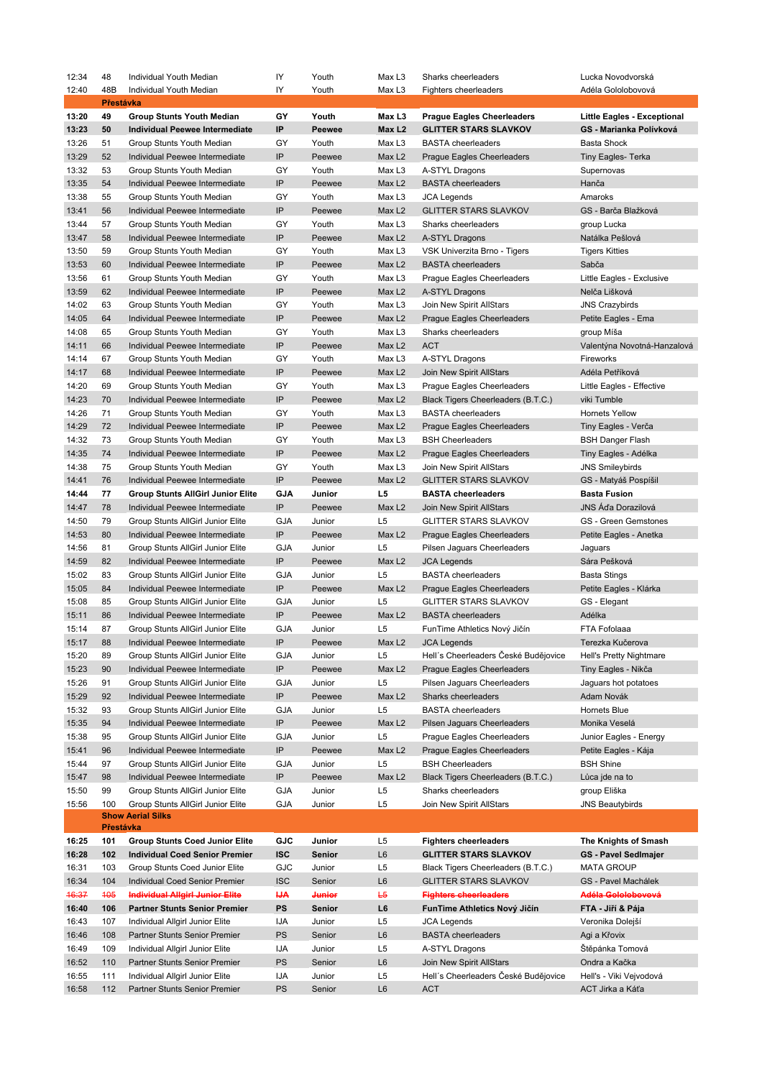| 12:34     | 48        | Individual Youth Median                                       | IY         | Youth             | Max L <sub>3</sub> | Sharks cheerleaders                  | Lucka Novodvorská                  |
|-----------|-----------|---------------------------------------------------------------|------------|-------------------|--------------------|--------------------------------------|------------------------------------|
| 12:40     | 48B       | Individual Youth Median                                       | IY         | Youth             | Max L3             | <b>Fighters cheerleaders</b>         | Adéla Gololobovová                 |
| Přestávka |           |                                                               |            |                   |                    |                                      |                                    |
| 13:20     | 49        | <b>Group Stunts Youth Median</b>                              | GY         | Youth             | Max L3             | <b>Prague Eagles Cheerleaders</b>    | <b>Little Eagles - Exceptional</b> |
| 13:23     | 50        | <b>Individual Peewee Intermediate</b>                         | IP         | Peewee            | Max L <sub>2</sub> | <b>GLITTER STARS SLAVKOV</b>         | GS - Marianka Polívková            |
| 13:26     | 51        | Group Stunts Youth Median                                     | GY         | Youth             | Max L3             | <b>BASTA cheerleaders</b>            | <b>Basta Shock</b>                 |
| 13:29     | 52        | Individual Peewee Intermediate                                | IP         | Peewee            | Max L <sub>2</sub> | Prague Eagles Cheerleaders           | <b>Tiny Eagles- Terka</b>          |
| 13:32     | 53        | Group Stunts Youth Median                                     | GY         | Youth             | Max L3             | A-STYL Dragons                       | Supernovas                         |
| 13:35     | 54        | Individual Peewee Intermediate                                | IP         | Peewee            | Max L <sub>2</sub> | <b>BASTA</b> cheerleaders            | Hanča                              |
| 13:38     | 55        | Group Stunts Youth Median                                     | GY         | Youth             | Max L3             | <b>JCA Legends</b>                   | Amaroks                            |
| 13:41     | 56        |                                                               | IP         | Peewee            | Max <sub>L2</sub>  | <b>GLITTER STARS SLAVKOV</b>         | GS - Barča Blažková                |
|           |           | Individual Peewee Intermediate                                |            |                   |                    |                                      |                                    |
| 13:44     | 57        | Group Stunts Youth Median                                     | GY         | Youth             | Max L <sub>3</sub> | Sharks cheerleaders                  | group Lucka                        |
| 13:47     | 58        | Individual Peewee Intermediate                                | IP         | Peewee            | Max <sub>L2</sub>  | A-STYL Dragons                       | Natálka Pešlová                    |
| 13:50     | 59        | Group Stunts Youth Median                                     | GY         | Youth             | Max L3             | VSK Univerzita Brno - Tigers         | <b>Tigers Kitties</b>              |
| 13:53     | 60        | Individual Peewee Intermediate                                | IP         | Peewee            | Max L <sub>2</sub> | <b>BASTA</b> cheerleaders            | Sabča                              |
| 13:56     | 61        | Group Stunts Youth Median                                     | GY         | Youth             | Max L <sub>3</sub> | Prague Eagles Cheerleaders           | Little Eagles - Exclusive          |
| 13:59     | 62        | Individual Peewee Intermediate                                | IP         | Peewee            | Max L <sub>2</sub> | A-STYL Dragons                       | Nelča Lišková                      |
| 14:02     | 63        | Group Stunts Youth Median                                     | GY         | Youth             | Max L3             | Join New Spirit AllStars             | <b>JNS Crazybirds</b>              |
| 14:05     | 64        | Individual Peewee Intermediate                                | IP         | Peewee            | Max L <sub>2</sub> | Prague Eagles Cheerleaders           | Petite Eagles - Ema                |
| 14:08     | 65        | Group Stunts Youth Median                                     | GY         | Youth             | Max <sub>L3</sub>  | Sharks cheerleaders                  | group Míša                         |
| 14:11     | 66        | Individual Peewee Intermediate                                | IP         | Peewee            | Max L <sub>2</sub> | <b>ACT</b>                           | Valentýna Novotná-Hanzalová        |
| 14:14     | 67        | Group Stunts Youth Median                                     | GY         | Youth             | Max L3             | A-STYL Dragons                       | Fireworks                          |
| 14:17     | 68        | Individual Peewee Intermediate                                | IP         | Peewee            | Max L <sub>2</sub> | Join New Spirit AllStars             | Adéla Petříková                    |
| 14:20     | 69        | Group Stunts Youth Median                                     | GY         | Youth             | Max <sub>L3</sub>  | Prague Eagles Cheerleaders           | Little Eagles - Effective          |
| 14:23     | 70        | Individual Peewee Intermediate                                | IP         |                   |                    |                                      | viki Tumble                        |
|           |           |                                                               |            | Peewee            | Max L <sub>2</sub> | Black Tigers Cheerleaders (B.T.C.)   |                                    |
| 14:26     | 71        | Group Stunts Youth Median                                     | GY         | Youth             | Max L3             | <b>BASTA cheerleaders</b>            | <b>Hornets Yellow</b>              |
| 14:29     | 72        | Individual Peewee Intermediate                                | IP         | Peewee            | Max L <sub>2</sub> | Prague Eagles Cheerleaders           | Tiny Eagles - Verča                |
| 14:32     | 73        | Group Stunts Youth Median                                     | GY         | Youth             | Max L3             | <b>BSH Cheerleaders</b>              | <b>BSH Danger Flash</b>            |
| 14:35     | 74        | Individual Peewee Intermediate                                | IP         | Peewee            | Max L <sub>2</sub> | Prague Eagles Cheerleaders           | Tiny Eagles - Adélka               |
| 14:38     | 75        | Group Stunts Youth Median                                     | GY         | Youth             | Max L3             | Join New Spirit AllStars             | <b>JNS Smileybirds</b>             |
| 14:41     | 76        | Individual Peewee Intermediate                                | IP         | Peewee            | Max L <sub>2</sub> | <b>GLITTER STARS SLAVKOV</b>         | GS - Matyáš Pospíšil               |
| 14:44     | 77        | <b>Group Stunts AllGirl Junior Elite</b>                      | <b>GJA</b> | Junior            | L5                 | <b>BASTA cheerleaders</b>            | <b>Basta Fusion</b>                |
| 14:47     | 78        | Individual Peewee Intermediate                                | IP         | Peewee            | Max <sub>L2</sub>  | Join New Spirit AllStars             | JNS Áďa Dorazilová                 |
| 14:50     | 79        | Group Stunts AllGirl Junior Elite                             | <b>GJA</b> | Junior            | L5                 | <b>GLITTER STARS SLAVKOV</b>         | GS - Green Gemstones               |
| 14:53     | 80        | Individual Peewee Intermediate                                | IP         | Peewee            | Max L <sub>2</sub> | Prague Eagles Cheerleaders           | Petite Eagles - Anetka             |
| 14:56     | 81        | Group Stunts AllGirl Junior Elite                             | <b>GJA</b> | Junior            | L5                 | Pilsen Jaguars Cheerleaders          | Jaguars                            |
| 14:59     | 82        | Individual Peewee Intermediate                                | IP         | Peewee            | Max L <sub>2</sub> | <b>JCA Legends</b>                   | Sára Pešková                       |
| 15:02     | 83        | Group Stunts AllGirl Junior Elite                             | <b>GJA</b> | Junior            | L5                 | <b>BASTA cheerleaders</b>            | <b>Basta Stings</b>                |
| 15:05     | 84        | Individual Peewee Intermediate                                | IP         | Peewee            | Max <sub>L2</sub>  | Prague Eagles Cheerleaders           | Petite Eagles - Klárka             |
| 15:08     | 85        |                                                               | <b>GJA</b> | Junior            | L5                 | <b>GLITTER STARS SLAVKOV</b>         | GS - Elegant                       |
|           |           | Group Stunts AllGirl Junior Elite                             | IP         |                   |                    |                                      |                                    |
| 15:11     | 86        | Individual Peewee Intermediate                                |            | Peewee            | Max <sub>L2</sub>  | <b>BASTA</b> cheerleaders            | Adélka                             |
| 15:14     | 87        | Group Stunts AllGirl Junior Elite                             | <b>GJA</b> | Junior            | L5                 | FunTime Athletics Nový Jičín         | FTA Fofolaaa                       |
| 15:17     | 88        | Individual Peewee Intermediate                                | IP         | Peewee            | Max L <sub>2</sub> | <b>JCA Legends</b>                   | Terezka Kučerova                   |
| 15:20     | 89        | Group Stunts AllGirl Junior Elite                             | <b>GJA</b> | Junior            | L5                 | Hell's Cheerleaders České Budějovice | Hell's Pretty Nightmare            |
| 15:23     | 90        | Individual Peewee Intermediate                                | IP         | Peewee            | Max <sub>L2</sub>  | <b>Prague Eagles Cheerleaders</b>    | Tiny Eagles - Nikča                |
| 15:26     | 91        | Group Stunts AllGirl Junior Elite                             | <b>GJA</b> | Junior            | L5                 | Pilsen Jaguars Cheerleaders          | Jaguars hot potatoes               |
| 15:29     | 92        | Individual Peewee Intermediate                                | IP         | Peewee            | Max <sub>L2</sub>  | Sharks cheerleaders                  | Adam Novák                         |
| 15:32     | 93        | Group Stunts AllGirl Junior Elite                             | <b>GJA</b> | Junior            | L5                 | <b>BASTA cheerleaders</b>            | Hornets Blue                       |
| 15:35     | 94        | Individual Peewee Intermediate                                | IP         | Peewee            | Max <sub>L2</sub>  | Pilsen Jaguars Cheerleaders          | Monika Veselá                      |
| 15:38     | 95        | Group Stunts AllGirl Junior Elite                             | <b>GJA</b> | Junior            | L5                 | Prague Eagles Cheerleaders           | Junior Eagles - Energy             |
| 15:41     | 96        | Individual Peewee Intermediate                                | IP         | Peewee            | Max <sub>L2</sub>  | Prague Eagles Cheerleaders           | Petite Eagles - Kája               |
| 15:44     | 97        | Group Stunts AllGirl Junior Elite                             | <b>GJA</b> | Junior            | L5                 | <b>BSH Cheerleaders</b>              | <b>BSH Shine</b>                   |
| 15:47     | 98        | Individual Peewee Intermediate                                | IP         | Peewee            | Max <sub>L2</sub>  | Black Tigers Cheerleaders (B.T.C.)   | Lůca jde na to                     |
| 15:50     | 99        | Group Stunts AllGirl Junior Elite                             | <b>GJA</b> | Junior            | L5                 | Sharks cheerleaders                  | group Eliška                       |
|           | 100       |                                                               | <b>GJA</b> | Junior            | L5                 |                                      |                                    |
| 15:56     |           | Group Stunts AllGirl Junior Elite<br><b>Show Aerial Silks</b> |            |                   |                    | Join New Spirit AllStars             | <b>JNS Beautybirds</b>             |
|           | Přestávka |                                                               |            |                   |                    |                                      |                                    |
| 16:25     | 101       | <b>Group Stunts Coed Junior Elite</b>                         | GJC        | Junior            | L5                 | <b>Fighters cheerleaders</b>         | The Knights of Smash               |
| 16:28     | 102       | <b>Individual Coed Senior Premier</b>                         | <b>ISC</b> | Senior            | L6                 | <b>GLITTER STARS SLAVKOV</b>         | <b>GS - Pavel SedImajer</b>        |
| 16:31     | 103       | Group Stunts Coed Junior Elite                                | GJC        | Junior            | L5                 | Black Tigers Cheerleaders (B.T.C.)   | <b>MATA GROUP</b>                  |
|           |           |                                                               |            |                   |                    |                                      |                                    |
| 16:34     | 104       | Individual Coed Senior Premier                                | <b>ISC</b> | Senior            | L6                 | <b>GLITTER STARS SLAVKOV</b>         | GS - Pavel Machálek                |
| 46:37     | 405       | <b>Individual Allgirl Junior Elite</b>                        | IJА        | <del>Junior</del> | L5                 | <b>Fighters cheerleaders</b>         | Adéla Gololobovová                 |
| 16:40     | 106       | <b>Partner Stunts Senior Premier</b>                          | PS         | Senior            | L6                 | FunTime Athletics Nový Jičín         | FTA - Jiří & Pája                  |
| 16:43     | 107       | Individual Allgirl Junior Elite                               | IJА        | Junior            | L5                 | <b>JCA Legends</b>                   | Veronika Dolejší                   |
| 16:46     | 108       | Partner Stunts Senior Premier                                 | PS         | Senior            | L6                 | <b>BASTA cheerleaders</b>            | Agi a Křovix                       |
| 16:49     | 109       | Individual Allgirl Junior Elite                               | IJА        | Junior            | L5                 | A-STYL Dragons                       | Stěpánka Tomová                    |
| 16:52     | 110       | Partner Stunts Senior Premier                                 | PS         | Senior            | L6                 | Join New Spirit AllStars             | Ondra a Kačka                      |
| 16:55     | 111       | Individual Allgirl Junior Elite                               | IJА        | Junior            | L5                 | Hell's Cheerleaders České Budějovice | Hell's - Viki Vejvodová            |
| 16:58     | 112       | Partner Stunts Senior Premier                                 | PS         | Senior            | $\mathsf{L}6$      | <b>ACT</b>                           | ACT Jirka a Káťa                   |
|           |           |                                                               |            |                   |                    |                                      |                                    |